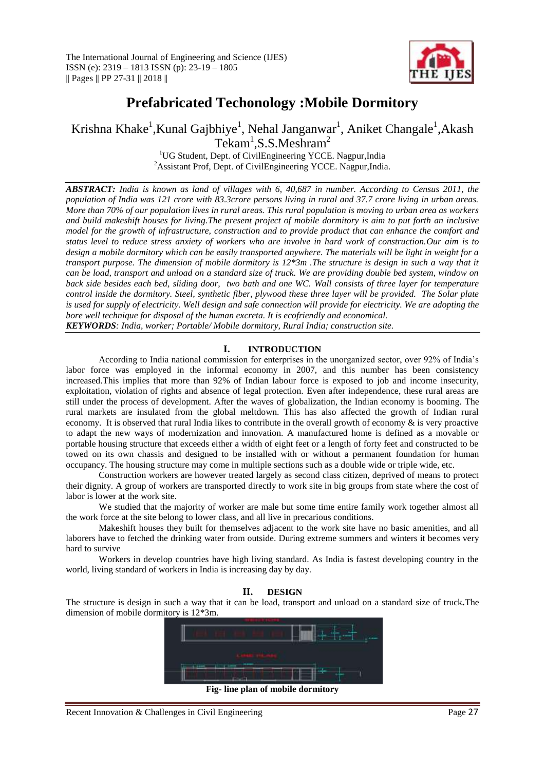

# **Prefabricated Techonology :Mobile Dormitory**

Krishna Khake<sup>1</sup>,Kunal Gajbhiye<sup>1</sup>, Nehal Janganwar<sup>1</sup>, Aniket Changale<sup>1</sup>,Akash  $Tekam<sup>1</sup>, S.S.Meshram<sup>2</sup>$ 

<sup>1</sup>UG Student, Dept. of CivilEngineering YCCE. Nagpur, India <sup>2</sup>Assistant Prof, Dept. of CivilEngineering YCCE. Nagpur, India.

*ABSTRACT: India is known as land of villages with 6, 40,687 in number. According to Census 2011, the population of India was 121 crore with 83.3crore persons living in rural and 37.7 crore living in urban areas. More than 70% of our population lives in rural areas. This rural population is moving to urban area as workers and build makeshift houses for living.The present project of mobile dormitory is aim to put forth an inclusive model for the growth of infrastructure, construction and to provide product that can enhance the comfort and status level to reduce stress anxiety of workers who are involve in hard work of construction.Our aim is to design a mobile dormitory which can be easily transported anywhere. The materials will be light in weight for a transport purpose. The dimension of mobile dormitory is 12\*3m .The structure is design in such a way that it can be load, transport and unload on a standard size of truck. We are providing double bed system, window on back side besides each bed, sliding door, two bath and one WC. Wall consists of three layer for temperature control inside the dormitory. Steel, synthetic fiber, plywood these three layer will be provided. The Solar plate is used for supply of electricity. Well design and safe connection will provide for electricity. We are adopting the bore well technique for disposal of the human excreta. It is ecofriendly and economical.*

*KEYWORDS: India, worker; Portable/ Mobile dormitory, Rural India; construction site.*

#### **I. INTRODUCTION**

According to India national commission for enterprises in the unorganized sector, over 92% of India's labor force was employed in the informal economy in 2007, and this number has been consistency increased.This implies that more than 92% of Indian labour force is exposed to job and income insecurity, exploitation, violation of rights and absence of legal protection. Even after independence, these rural areas are still under the process of development. After the waves of globalization, the Indian economy is booming. The rural markets are insulated from the global meltdown. This has also affected the growth of Indian rural economy. It is observed that rural India likes to contribute in the overall growth of economy  $\&$  is very proactive to adapt the new ways of modernization and innovation. A manufactured home is defined as a movable or portable housing structure that exceeds either a width of eight feet or a length of forty feet and constructed to be towed on its own chassis and designed to be installed with or without a permanent foundation for human occupancy. The housing structure may come in multiple sections such as a double wide or triple wide, etc.

Construction workers are however treated largely as second class citizen, deprived of means to protect their dignity. A group of workers are transported directly to work site in big groups from state where the cost of labor is lower at the work site.

We studied that the majority of worker are male but some time entire family work together almost all the work force at the site belong to lower class, and all live in precarious conditions.

Makeshift houses they built for themselves adjacent to the work site have no basic amenities, and all laborers have to fetched the drinking water from outside. During extreme summers and winters it becomes very hard to survive

Workers in develop countries have high living standard. As India is fastest developing country in the world, living standard of workers in India is increasing day by day.

#### **II. DESIGN**

The structure is design in such a way that it can be load, transport and unload on a standard size of truck*.*The dimension of mobile dormitory is 12\*3m.



**Fig- line plan of mobile dormitory**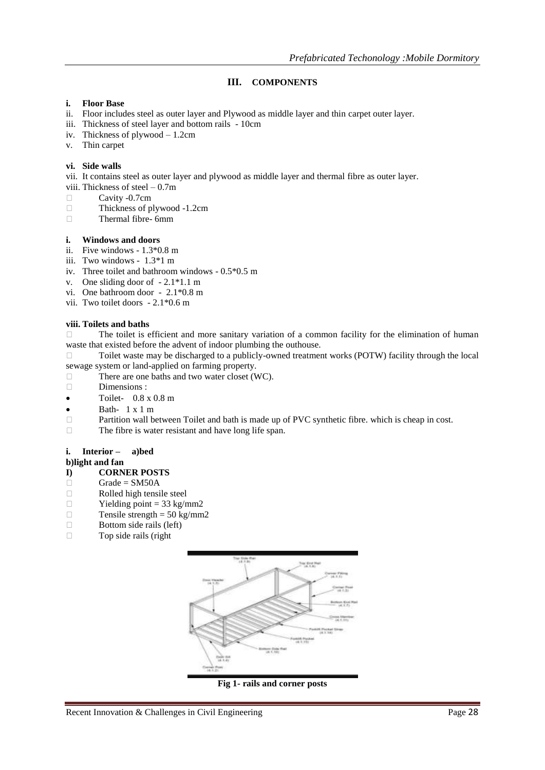## **III. COMPONENTS**

#### **i. Floor Base**

- ii. Floor includes steel as outer layer and Plywood as middle layer and thin carpet outer layer.
- iii. Thickness of steel layer and bottom rails 10cm
- iv. Thickness of plywood 1.2cm
- v. Thin carpet

#### **vi. Side walls**

vii. It contains steel as outer layer and plywood as middle layer and thermal fibre as outer layer.

- viii. Thickness of steel 0.7m
- $\Box$  Cavity -0.7cm<br>Thickness of p
- $\Box$  Thickness of plywood -1.2cm<br>Thermal fibre- 6mm
- Thermal fibre- 6mm

#### **i. Windows and doors**

- ii. Five windows 1.3\*0.8 m
- iii. Two windows 1.3\*1 m
- iv. Three toilet and bathroom windows 0.5\*0.5 m
- v. One sliding door of 2.1\*1.1 m
- vi. One bathroom door 2.1\*0.8 m
- vii. Two toilet doors 2.1\*0.6 m

#### **viii. Toilets and baths**

 The toilet is efficient and more sanitary variation of a common facility for the elimination of human waste that existed before the advent of indoor plumbing the outhouse.

 $\Box$  Toilet waste may be discharged to a publicly-owned treatment works (POTW) facility through the local sewage system or land-applied on farming property.

- $\Box$  There are one baths and two water closet (WC).
- Dimensions :
- $\bullet$  Toilet-  $0.8 \times 0.8 \text{ m}$
- $\bullet$  Bath-  $1 \times 1$  m
- $\Box$  Partition wall between Toilet and bath is made up of PVC synthetic fibre. which is cheap in cost.
- $\Box$  The fibre is water resistant and have long life span.

## **i. Interior – a)bed**

#### **b)light and fan**

#### **I) CORNER POSTS**

- $Grade = SM50A$
- Rolled high tensile steel
- $\Box$  Yielding point = 33 kg/mm2
- Tensile strength =  $50 \text{ kg/mm2}$
- $\Box$  Bottom side rails (left)<br>  $\Box$  Top side rails (right)
- Top side rails (right



**Fig 1- rails and corner posts**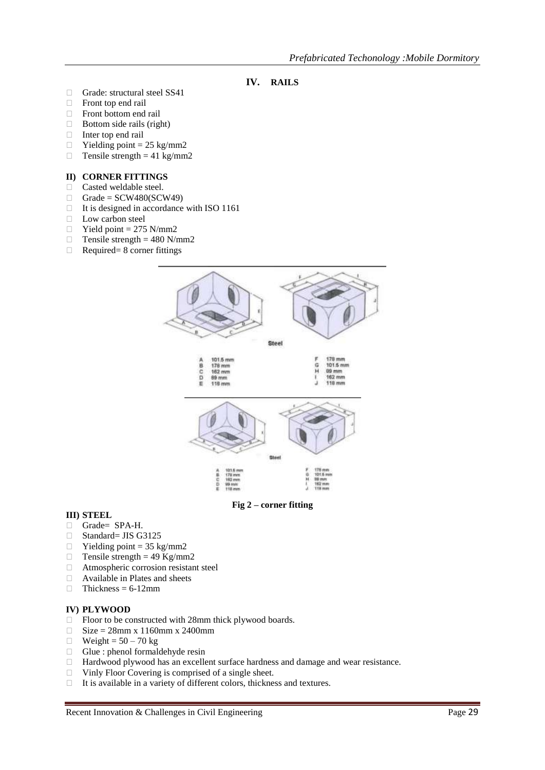- **IV. RAILS**
- Grade: structural steel SS41
- Front top end rail
- Front bottom end rail
- Bottom side rails (right)
- Inter top end rail
- □ Yielding point =  $25 \text{ kg/mm}$ <br>□ Tensile strength =  $41 \text{ kg/mm}$
- Tensile strength =  $41 \text{ kg/mm2}$

#### **II) CORNER FITTINGS**

- Casted weldable steel.
- $\Box$  Grade = SCW480(SCW49)
- $\Box$  It is designed in accordance with ISO 1161
- **Low carbon steel**
- $\Box$  Yield point = 275 N/mm2
- $\Box$  Tensile strength = 480 N/mm2
- $\Box$  Required= 8 corner fittings



**Fig 2 – corner fitting**

#### **III) STEEL**

- Grade= SPA-H.
- □ Standard= JIS G3125
- $\Box$  Yielding point = 35 kg/mm2
- $\Box$  Tensile strength = 49 Kg/mm2
- Atmospheric corrosion resistant steel
- □ Available in Plates and sheets
- $\Box$  Thickness = 6-12mm

### **IV) PLYWOOD**

- □ Floor to be constructed with 28mm thick plywood boards.
- $\Box$  Size = 28mm x 1160mm x 2400mm
- $\Box$  Weight = 50 70 kg
- $\Box$  Glue : phenol formaldehyde resin
- □ Hardwood plywood has an excellent surface hardness and damage and wear resistance.
- Vinly Floor Covering is comprised of a single sheet.
- It is available in a variety of different colors, thickness and textures.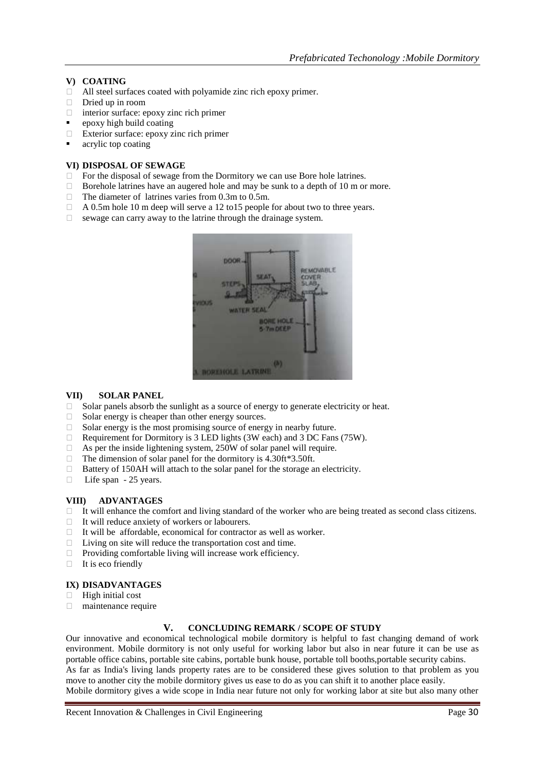#### **V) COATING**

- All steel surfaces coated with polyamide zinc rich epoxy primer.
- $\Box$  Dried up in room
- $\Box$  interior surface: epoxy zinc rich primer
- epoxy high build coating
- Exterior surface: epoxy zinc rich primer
- acrylic top coating

#### **VI) DISPOSAL OF SEWAGE**

- $\Box$  For the disposal of sewage from the Dormitory we can use Bore hole latrines.
- $\Box$  Borehole latrines have an augered hole and may be sunk to a depth of 10 m or more.
- $\Box$  The diameter of latrines varies from 0.3m to 0.5m.
- $\Box$  A 0.5m hole 10 m deep will serve a 12 to 15 people for about two to three years.
- $\Box$  sewage can carry away to the latrine through the drainage system.



#### **VII) SOLAR PANEL**

- $\Box$  Solar panels absorb the sunlight as a source of energy to generate electricity or heat.
- $\Box$  Solar energy is cheaper than other energy sources.
- $\Box$  Solar energy is the most promising source of energy in nearby future.
- Requirement for Dormitory is 3 LED lights (3W each) and 3 DC Fans (75W).
- $\Box$  As per the inside lightening system, 250W of solar panel will require.
- $\Box$  The dimension of solar panel for the dormitory is 4.30ft\*3.50ft.
- $\Box$  Battery of 150AH will attach to the solar panel for the storage an electricity.
- □ Life span 25 years.

#### **VIII) ADVANTAGES**

- It will enhance the comfort and living standard of the worker who are being treated as second class citizens.
- $\Box$  It will reduce anxiety of workers or labourers.
- $\Box$  It will be affordable, economical for contractor as well as worker.
- $\Box$  Living on site will reduce the transportation cost and time.<br>Providing comfortable living will increase work efficiency
- Providing comfortable living will increase work efficiency.
- $\Box$  It is eco friendly

#### **IX) DISADVANTAGES**

- $\Box$  High initial cost
- maintenance require

#### **V. CONCLUDING REMARK / SCOPE OF STUDY**

Our innovative and economical technological mobile dormitory is helpful to fast changing demand of work environment. Mobile dormitory is not only useful for working labor but also in near future it can be use as portable office cabins, portable site cabins, portable bunk house, portable toll booths,portable security cabins. As far as India's living lands property rates are to be considered these gives solution to that problem as you move to another city the mobile dormitory gives us ease to do as you can shift it to another place easily.

Mobile dormitory gives a wide scope in India near future not only for working labor at site but also many other